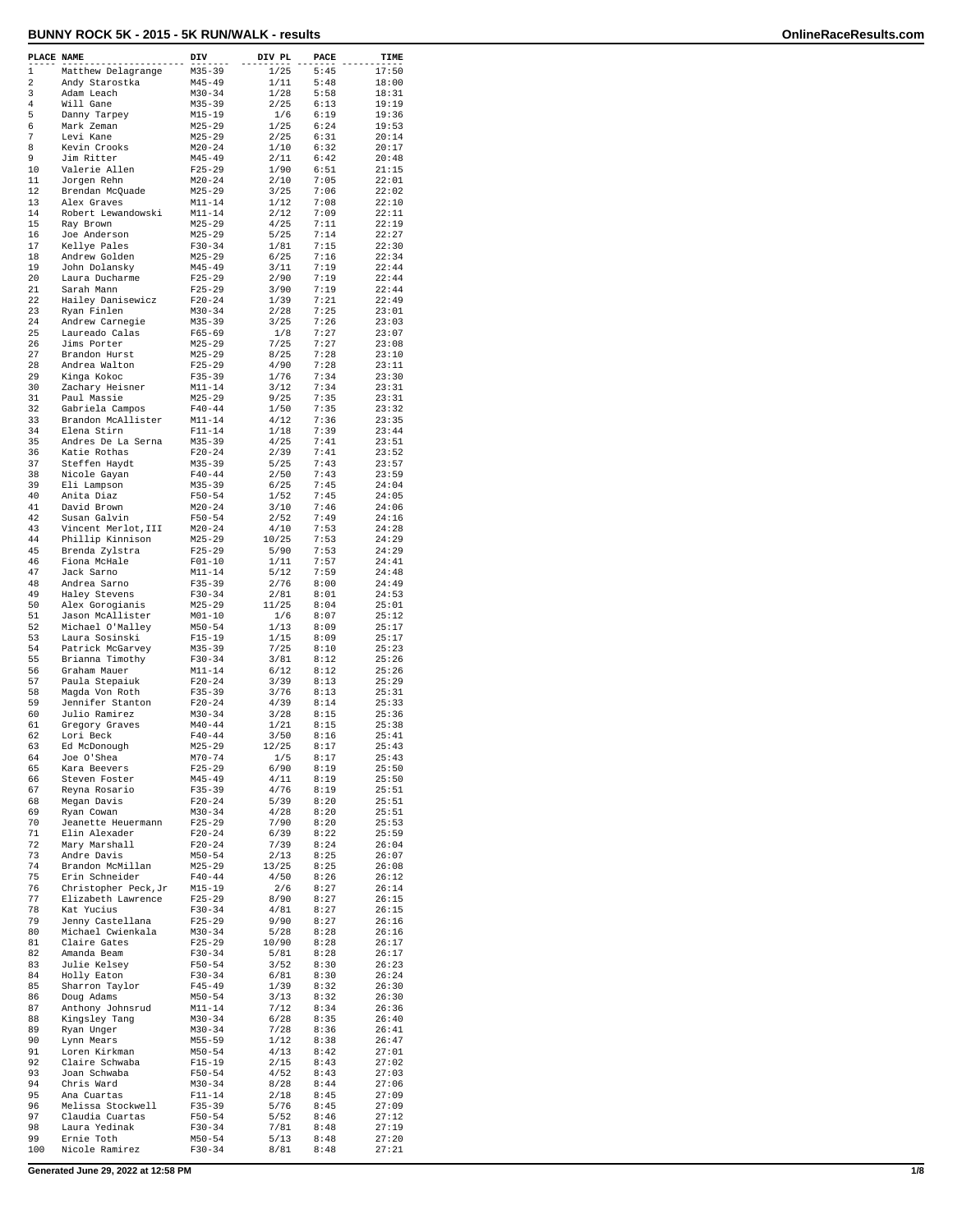| PLACE NAME |                                        | DIV                      | DIV PL        | PACE         | TIME           |
|------------|----------------------------------------|--------------------------|---------------|--------------|----------------|
| 1          | Matthew Delagrange                     | M35-39                   | 1/25          | 5:45         | 17:50          |
| 2<br>3     | Andy Starostka<br>Adam Leach           | $M45 - 49$<br>$M30 - 34$ | 1/11<br>1/28  | 5:48<br>5:58 | 18:00<br>18:31 |
| 4          | Will Gane                              | $M35 - 39$               | 2/25          | 6:13         | 19:19          |
| 5          | Danny Tarpey                           | $M15 - 19$               | 1/6           | 6:19         | 19:36          |
| 6<br>7     | Mark Zeman                             | $M25 - 29$               | 1/25          | 6:24         | 19:53<br>20:14 |
| 8          | Levi Kane<br>Kevin Crooks              | $M25 - 29$<br>$M20 - 24$ | 2/25<br>1/10  | 6:31<br>6:32 | 20:17          |
| 9          | Jim Ritter                             | $M45 - 49$               | 2/11          | 6:42         | 20:48          |
| 10         | Valerie Allen                          | $F25-29$                 | 1/90          | 6:51         | 21:15          |
| 11         | Jorgen Rehn                            | $M20 - 24$               | 2/10          | 7:05         | 22:01          |
| 12<br>13   | Brendan McQuade<br>Alex Graves         | $M25 - 29$<br>$M11 - 14$ | 3/25<br>1/12  | 7:06<br>7:08 | 22:02<br>22:10 |
| 14         | Robert Lewandowski                     | $M11 - 14$               | 2/12          | 7:09         | 22:11          |
| 15         | Ray Brown                              | $M25 - 29$               | 4/25          | 7:11         | 22:19          |
| 16<br>17   | Joe Anderson                           | $M25 - 29$               | 5/25          | 7:14         | 22:27          |
| 18         | Kellye Pales<br>Andrew Golden          | $F30 - 34$<br>$M25 - 29$ | 1/81<br>6/25  | 7:15<br>7:16 | 22:30<br>22:34 |
| 19         | John Dolansky                          | M45-49                   | 3/11          | 7:19         | 22:44          |
| 20         | Laura Ducharme                         | $F25 - 29$               | 2/90          | 7:19         | 22:44          |
| 21<br>22   | Sarah Mann                             | $F25 - 29$               | 3/90          | 7:19         | 22:44          |
| 23         | Hailey Danisewicz<br>Ryan Finlen       | $F20-24$<br>$M30 - 34$   | 1/39<br>2/28  | 7:21<br>7:25 | 22:49<br>23:01 |
| 24         | Andrew Carnegie                        | $M35 - 39$               | 3/25          | 7:26         | 23:03          |
| 25         | Laureado Calas                         | $F65 - 69$               | 1/8           | 7:27         | 23:07          |
| 26<br>27   | Jims Porter<br>Brandon Hurst           | $M25 - 29$<br>$M25 - 29$ | 7/25<br>8/25  | 7:27<br>7:28 | 23:08<br>23:10 |
| 28         | Andrea Walton                          | $F25-29$                 | 4/90          | 7:28         | 23:11          |
| 29         | Kinga Kokoc                            | $F35 - 39$               | 1/76          | 7:34         | 23:30          |
| 30         | Zachary Heisner                        | $M11 - 14$               | 3/12          | 7:34         | 23:31          |
| 31<br>32   | Paul Massie                            | $M25 - 29$<br>$F40 - 44$ | 9/25          | 7:35<br>7:35 | 23:31<br>23:32 |
| 33         | Gabriela Campos<br>Brandon McAllister  | $M11 - 14$               | 1/50<br>4/12  | 7:36         | 23:35          |
| 34         | Elena Stirn                            | $F11 - 14$               | 1/18          | 7:39         | 23:44          |
| 35         | Andres De La Serna                     | M35-39                   | 4/25          | 7:41         | 23:51          |
| 36<br>37   | Katie Rothas                           | $F20-24$                 | 2/39          | 7:41<br>7:43 | 23:52<br>23:57 |
| 38         | Steffen Haydt<br>Nicole Gayan          | $M35 - 39$<br>$F40 - 44$ | 5/25<br>2/50  | 7:43         | 23:59          |
| 39         | Eli Lampson                            | $M35 - 39$               | 6/25          | 7:45         | 24:04          |
| 40         | Anita Diaz                             | $F50 - 54$               | 1/52          | 7:45         | 24:05          |
| 41<br>42   | David Brown<br>Susan Galvin            | $M20 - 24$<br>$F50 - 54$ | 3/10<br>2/52  | 7:46<br>7:49 | 24:06<br>24:16 |
| 43         | Vincent Merlot, III                    | $M20 - 24$               | 4/10          | 7:53         | 24:28          |
| 44         | Phillip Kinnison                       | $M25 - 29$               | 10/25         | 7:53         | 24:29          |
| 45         | Brenda Zylstra                         | $F25 - 29$               | 5/90          | 7:53         | 24:29          |
| 46<br>47   | Fiona McHale                           | $F01-10$<br>$M11 - 14$   | 1/11<br>5/12  | 7:57<br>7:59 | 24:41<br>24:48 |
| 48         | Jack Sarno<br>Andrea Sarno             | $F35 - 39$               | 2/76          | 8:00         | 24:49          |
| 49         | Haley Stevens                          | $F30-34$                 | 2/81          | 8:01         | 24:53          |
| 50         | Alex Gorogianis                        | $M25 - 29$               | 11/25         | 8:04         | 25:01          |
| 51<br>52   | Jason McAllister<br>Michael O'Malley   | $M01 - 10$<br>$M50 - 54$ | 1/6<br>1/13   | 8:07<br>8:09 | 25:12<br>25:17 |
| 53         | Laura Sosinski                         | $F15-19$                 | 1/15          | 8:09         | 25:17          |
| 54         | Patrick McGarvey                       | $M35 - 39$               | 7/25          | 8:10         | 25:23          |
| 55         | Brianna Timothy                        | $F30-34$                 | 3/81          | 8:12         | 25:26          |
| 56<br>57   | Graham Mauer<br>Paula Stepaiuk         | $M11 - 14$<br>$F20-24$   | 6/12<br>3/39  | 8:12<br>8:13 | 25:26<br>25:29 |
| 58         | Magda Von Roth                         | $F35 - 39$               | 3/76          | 8:13         | 25:31          |
| 59         | Jennifer Stanton                       | $F20-24$                 | 4/39          | 8:14         | 25:33          |
| 60         | Julio Ramirez                          | $M30 - 34$               | 3/28          | 8:15         | 25:36          |
| 61<br>62   | Gregory Graves<br>Lori Beck            | $M40 - 44$<br>$F40 - 44$ | 1/21<br>3/50  | 8:15<br>8:16 | 25:38<br>25:41 |
| 63         | Ed McDonough                           | $M25 - 29$               | 12/25         | 8:17         | 25:43          |
| 64         | Joe O'Shea                             | $M70 - 74$               | 1/5           | 8:17         | 25:43          |
| 65<br>66   | Kara Beevers<br>Steven Foster          | $F25 - 29$<br>$M45 - 49$ | 6/90          | 8:19         | 25:50<br>25:50 |
| 67         | Reyna Rosario                          | $F35 - 39$               | 4/11<br>4/76  | 8:19<br>8:19 | 25:51          |
| 68         | Megan Davis                            | $F20 - 24$               | 5/39          | 8:20         | 25:51          |
| 69         | Ryan Cowan                             | $M30 - 34$               | 4/28          | 8:20         | 25:51          |
| 70<br>71   | Jeanette Heuermann<br>Elin Alexader    | $F25-29$<br>$F20 - 24$   | 7/90<br>6/39  | 8:20<br>8:22 | 25:53<br>25:59 |
| 72         | Mary Marshall                          | $F20-24$                 | 7/39          | 8:24         | 26:04          |
| 73         | Andre Davis                            | $M50 - 54$               | 2/13          | 8:25         | 26:07          |
| 74         | Brandon McMillan                       | $M25 - 29$               | 13/25         | 8:25         | 26:08          |
| 75<br>76   | Erin Schneider<br>Christopher Peck, Jr | $F40 - 44$<br>$M15 - 19$ | 4/50<br>2/6   | 8:26<br>8:27 | 26:12<br>26:14 |
| 77         | Elizabeth Lawrence                     | $F25 - 29$               | 8/90          | 8:27         | 26:15          |
| 78         | Kat Yucius                             | $F30-34$                 | 4/81          | 8:27         | 26:15          |
| 79         | Jenny Castellana                       | $F25-29$                 | 9/90          | 8:27         | 26:16          |
| 80<br>81   | Michael Cwienkala<br>Claire Gates      | $M30 - 34$<br>$F25 - 29$ | 5/28<br>10/90 | 8:28<br>8:28 | 26:16<br>26:17 |
| 82         | Amanda Beam                            | $F30-34$                 | 5/81          | 8:28         | 26:17          |
| 83         | Julie Kelsey                           | $F50 - 54$               | 3/52          | 8:30         | 26:23          |
| 84         | Holly Eaton                            | $F30-34$                 | 6/81          | 8:30         | 26:24          |
| 85<br>86   | Sharron Taylor<br>Doug Adams           | $F45 - 49$<br>$M50 - 54$ | 1/39<br>3/13  | 8:32<br>8:32 | 26:30<br>26:30 |
| 87         | Anthony Johnsrud                       | $M11 - 14$               | 7/12          | 8:34         | 26:36          |
| 88         | Kingsley Tang                          | $M30 - 34$               | 6/28          | 8:35         | 26:40          |
| 89         | Ryan Unger                             | $M30 - 34$               | 7/28          | 8:36         | 26:41          |
| 90<br>91   | Lynn Mears<br>Loren Kirkman            | $M55 - 59$<br>$M50 - 54$ | 1/12<br>4/13  | 8:38<br>8:42 | 26:47<br>27:01 |
| 92         | Claire Schwaba                         | $F15 - 19$               | 2/15          | 8:43         | 27:02          |
| 93         | Joan Schwaba                           | $F50 - 54$               | 4/52          | 8:43         | 27:03          |
| 94         | Chris Ward                             | $M30 - 34$               | 8/28          | 8:44         | 27:06          |
| 95<br>96   | Ana Cuartas<br>Melissa Stockwell       | $F11 - 14$<br>$F35 - 39$ | 2/18<br>5/76  | 8:45<br>8:45 | 27:09<br>27:09 |
| 97         | Claudia Cuartas                        | $F50 - 54$               | 5/52          | 8:46         | 27:12          |
| 98         | Laura Yedinak                          | $F30 - 34$               | 7/81          | 8:48         | 27:19          |
| 99<br>100  | Ernie Toth<br>Nicole Ramirez           | $M50 - 54$<br>$F30-34$   | 5/13<br>8/81  | 8:48<br>8:48 | 27:20<br>27:21 |
|            |                                        |                          |               |              |                |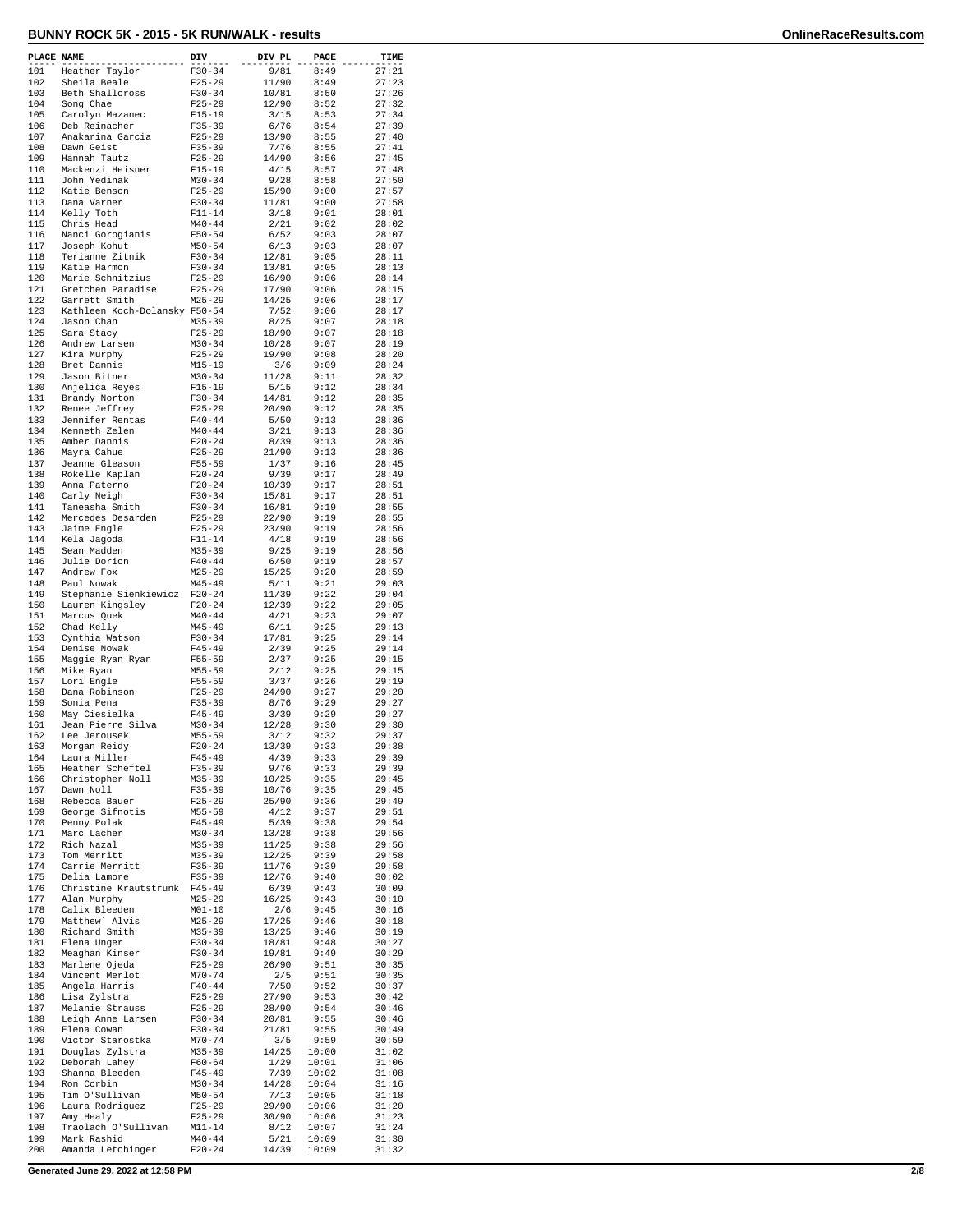| PLACE NAME |                               | DIV        | DIV PL | PACE  | TIME           |
|------------|-------------------------------|------------|--------|-------|----------------|
| 101        | Heather Taylor                | $F30 - 34$ | 9/81   | 8:49  | 27:21          |
| 102        | Sheila Beale                  | $F25 - 29$ | 11/90  | 8:49  | 27:23          |
| 103        | Beth Shallcross               | $F30 - 34$ | 10/81  | 8:50  | 27:26          |
| 104        | Song Chae                     | $F25 - 29$ | 12/90  | 8:52  | 27:32          |
| 105        | Carolyn Mazanec               | $F15 - 19$ | 3/15   | 8:53  | 27:34          |
| 106        | Deb Reinacher                 | $F35 - 39$ | 6/76   | 8:54  | 27:39          |
| 107        | Anakarina Garcia              | $F25 - 29$ | 13/90  | 8:55  | 27:40          |
| 108        | Dawn Geist                    | $F35 - 39$ | 7/76   | 8:55  | 27:41          |
| 109        | Hannah Tautz                  | $F25 - 29$ | 14/90  | 8:56  | 27:45          |
|            |                               |            |        |       |                |
| 110        | Mackenzi Heisner              | $F15 - 19$ | 4/15   | 8:57  | 27:48          |
| 111        | John Yedinak                  | $M30 - 34$ | 9/28   | 8:58  | 27:50          |
| 112        | Katie Benson                  | $F25 - 29$ | 15/90  | 9:00  | 27:57          |
| 113        | Dana Varner                   | $F30 - 34$ | 11/81  | 9:00  | 27:58          |
| 114        | Kelly Toth                    | $F11 - 14$ | 3/18   | 9:01  | 28:01          |
| 115        | Chris Head                    | $M40 - 44$ | 2/21   | 9:02  | 28:02          |
| 116        | Nanci Gorogianis              | $F50 - 54$ | 6/52   | 9:03  | 28:07          |
| 117        | Joseph Kohut                  | $M50 - 54$ | 6/13   | 9:03  | 28:07          |
| 118        | Terianne Zitnik               | $F30 - 34$ | 12/81  | 9:05  | 28:11          |
| 119        | Katie Harmon                  | $F30 - 34$ | 13/81  | 9:05  | 28:13          |
| 120        | Marie Schnitzius              | $F25 - 29$ | 16/90  | 9:06  | 28:14          |
| 121        | Gretchen Paradise             | $F25 - 29$ | 17/90  | 9:06  | 28:15          |
| 122        | Garrett Smith                 | $M25 - 29$ | 14/25  | 9:06  | 28:17          |
| 123        | Kathleen Koch-Dolansky F50-54 |            | 7/52   | 9:06  | 28:17          |
| 124        | Jason Chan                    | $M35 - 39$ | 8/25   | 9:07  | 28:18          |
| 125        | Sara Stacy                    | $F25 - 29$ | 18/90  | 9:07  | 28:18          |
| 126        | Andrew Larsen                 | $M30 - 34$ | 10/28  | 9:07  | 28:19          |
| 127        | Kira Murphy                   | $F25 - 29$ | 19/90  | 9:08  | 28:20          |
| 128        | Bret Dannis                   | $M15 - 19$ | 3/6    | 9:09  | 28:24          |
| 129        | Jason Bitner                  | $M30 - 34$ | 11/28  | 9:11  | 28:32          |
| 130        | Anjelica Reyes                | $F15 - 19$ | 5/15   | 9:12  | 28:34          |
| 131        | Brandy Norton                 | $F30 - 34$ | 14/81  | 9:12  | 28:35          |
| 132        | Renee Jeffrey                 | $F25 - 29$ | 20/90  | 9:12  | 28:35          |
| 133        | Jennifer Rentas               | $F40 - 44$ | 5/50   | 9:13  | 28:36          |
| 134        | Kenneth Zelen                 | $M40 - 44$ | 3/21   | 9:13  | 28:36          |
| 135        | Amber Dannis                  | $F20-24$   | 8/39   | 9:13  | 28:36          |
| 136        | Mayra Cahue                   | $F25 - 29$ | 21/90  | 9:13  | 28:36          |
| 137        | Jeanne Gleason                | $F55 - 59$ | 1/37   | 9:16  | 28:45          |
| 138        |                               | $F20 - 24$ | 9/39   | 9:17  | 28:49          |
| 139        | Rokelle Kaplan                |            |        | 9:17  | 28:51          |
|            | Anna Paterno                  | $F20 - 24$ | 10/39  |       |                |
| 140        | Carly Neigh                   | $F30 - 34$ | 15/81  | 9:17  | 28:51          |
| 141        | Taneasha Smith                | $F30-34$   | 16/81  | 9:19  | 28:55          |
| 142        | Mercedes Desarden             | $F25 - 29$ | 22/90  | 9:19  | 28:55          |
| 143        | Jaime Engle                   | $F25 - 29$ | 23/90  | 9:19  | 28:56          |
| 144        | Kela Jagoda                   | $F11 - 14$ | 4/18   | 9:19  | 28:56          |
| 145        | Sean Madden                   | $M35 - 39$ | 9/25   | 9:19  | 28:56          |
| 146        | Julie Dorion                  | $F40 - 44$ | 6/50   | 9:19  | 28:57          |
| 147        | Andrew Fox                    | $M25 - 29$ | 15/25  | 9:20  | 28:59          |
| 148        | Paul Nowak                    | $M45 - 49$ | 5/11   | 9:21  | 29:03          |
| 149        | Stephanie Sienkiewicz         | $F20 - 24$ | 11/39  | 9:22  | 29:04          |
| 150        | Lauren Kingsley               | $F20 - 24$ | 12/39  | 9:22  | 29:05          |
| 151        | Marcus Quek                   | $M40 - 44$ | 4/21   | 9:23  | 29:07          |
| 152        | Chad Kelly                    | $M45 - 49$ | 6/11   | 9:25  | 29:13          |
| 153        | Cynthia Watson                | $F30 - 34$ | 17/81  | 9:25  | 29:14          |
| 154        | Denise Nowak                  | $F45 - 49$ | 2/39   | 9:25  | 29:14          |
| 155        | Maggie Ryan Ryan              | $F55 - 59$ | 2/37   | 9:25  | 29:15          |
| 156        | Mike Ryan                     | $M55 - 59$ | 2/12   | 9:25  | 29:15          |
| 157        | Lori Engle                    | $F55 - 59$ | 3/37   | 9:26  | 29:19          |
| 158        | Dana Robinson                 | $F25 - 29$ | 24/90  | 9:27  | 29:20          |
| 159        | Sonia Pena                    | $F35 - 39$ | 8/76   | 9:29  | 29:27          |
| 160        | May Ciesielka                 | $F45 - 49$ | 3/39   | 9:29  | 29:27          |
| 161        | Jean Pierre Silva             | $M30 - 34$ | 12/28  | 9:30  | 29:30          |
| 162        | Lee Jerousek                  | $M55 - 59$ | 3/12   | 9:32  | 29:37          |
| 163        | Morgan Reidy                  | $F20 - 24$ | 13/39  | 9:33  | 29:38          |
| 164        | Laura Miller                  | $F45 - 49$ | 4/39   | 9:33  | 29:39          |
| 165        | Heather Scheftel              | $F35 - 39$ | 9/76   | 9:33  | 29:39          |
| 166        | Christopher Noll              | M35-39     | 10/25  | 9:35  | 29:45          |
| 167        | Dawn Noll                     | $F35 - 39$ | 10/76  | 9:35  | 29:45          |
| 168        | Rebecca Bauer                 | $F25 - 29$ | 25/90  | 9:36  | 29:49          |
| 169        | George Sifnotis               | $M55 - 59$ | 4/12   | 9:37  | 29:51          |
| 170        | Penny Polak                   | $F45 - 49$ | 5/39   | 9:38  | 29:54          |
| 171        | Marc Lacher                   | $M30 - 34$ | 13/28  | 9:38  | 29:56          |
| 172        | Rich Nazal                    | $M35 - 39$ | 11/25  | 9:38  | 29:56          |
| 173        | Tom Merritt                   | $M35 - 39$ | 12/25  | 9:39  | 29:58          |
| 174        | Carrie Merritt                | $F35 - 39$ | 11/76  | 9:39  | 29:58          |
| 175        | Delia Lamore                  | $F35 - 39$ | 12/76  | 9:40  | 30:02          |
| 176        | Christine Krautstrunk         | $F45 - 49$ | 6/39   | 9:43  | 30:09          |
| 177        | Alan Murphy                   | $M25 - 29$ | 16/25  | 9:43  | 30:10          |
| 178        | Calix Bleeden                 | $M01 - 10$ | $2/6$  | 9:45  | 30:16          |
| 179        | Matthew' Alvis                | $M25 - 29$ | 17/25  | 9:46  | 30:18          |
| 180        | Richard Smith                 | $M35 - 39$ | 13/25  | 9:46  | 30:19          |
| 181        | Elena Unger                   | $F30 - 34$ | 18/81  | 9:48  | 30:27          |
| 182        | Meaghan Kinser                | $F30 - 34$ | 19/81  | 9:49  | 30:29          |
| 183        | Marlene Ojeda                 | $F25 - 29$ | 26/90  | 9:51  | 30:35          |
| 184        | Vincent Merlot                | $M70 - 74$ | 2/5    | 9:51  | 30:35          |
| 185        | Angela Harris                 | $F40 - 44$ | 7/50   | 9:52  | 30:37          |
| 186        | Lisa Zylstra                  | $F25 - 29$ | 27/90  | 9:53  | 30:42          |
|            |                               |            | 28/90  | 9:54  |                |
| 187        | Melanie Strauss               | $F25 - 29$ |        |       | 30:46<br>30:46 |
| 188        | Leigh Anne Larsen             | $F30 - 34$ | 20/81  | 9:55  |                |
| 189        | Elena Cowan                   | $F30-34$   | 21/81  | 9:55  | 30:49          |
| 190        | Victor Starostka              | $M70 - 74$ | 3/5    | 9:59  | 30:59          |
| 191        | Douglas Zylstra               | $M35 - 39$ | 14/25  | 10:00 | 31:02          |
| 192        | Deborah Lahey                 | $F60 - 64$ | 1/29   | 10:01 | 31:06          |
| 193        | Shanna Bleeden                | $F45 - 49$ | 7/39   | 10:02 | 31:08          |
| 194        | Ron Corbin                    | $M30 - 34$ | 14/28  | 10:04 | 31:16          |
| 195        | Tim O'Sullivan                | $M50 - 54$ | 7/13   | 10:05 | 31:18          |
| 196        | Laura Rodriguez               | $F25 - 29$ | 29/90  | 10:06 | 31:20          |
| 197        | Amy Healy                     | $F25 - 29$ | 30/90  | 10:06 | 31:23          |
| 198        | Traolach O'Sullivan           | $M11 - 14$ | 8/12   | 10:07 | 31:24          |
| 199        | Mark Rashid                   | $M40 - 44$ | 5/21   | 10:09 | 31:30          |
| 200        | Amanda Letchinger             | $F20 - 24$ | 14/39  | 10:09 | 31:32          |

**Generated June 29, 2022 at 12:58 PM 2/8**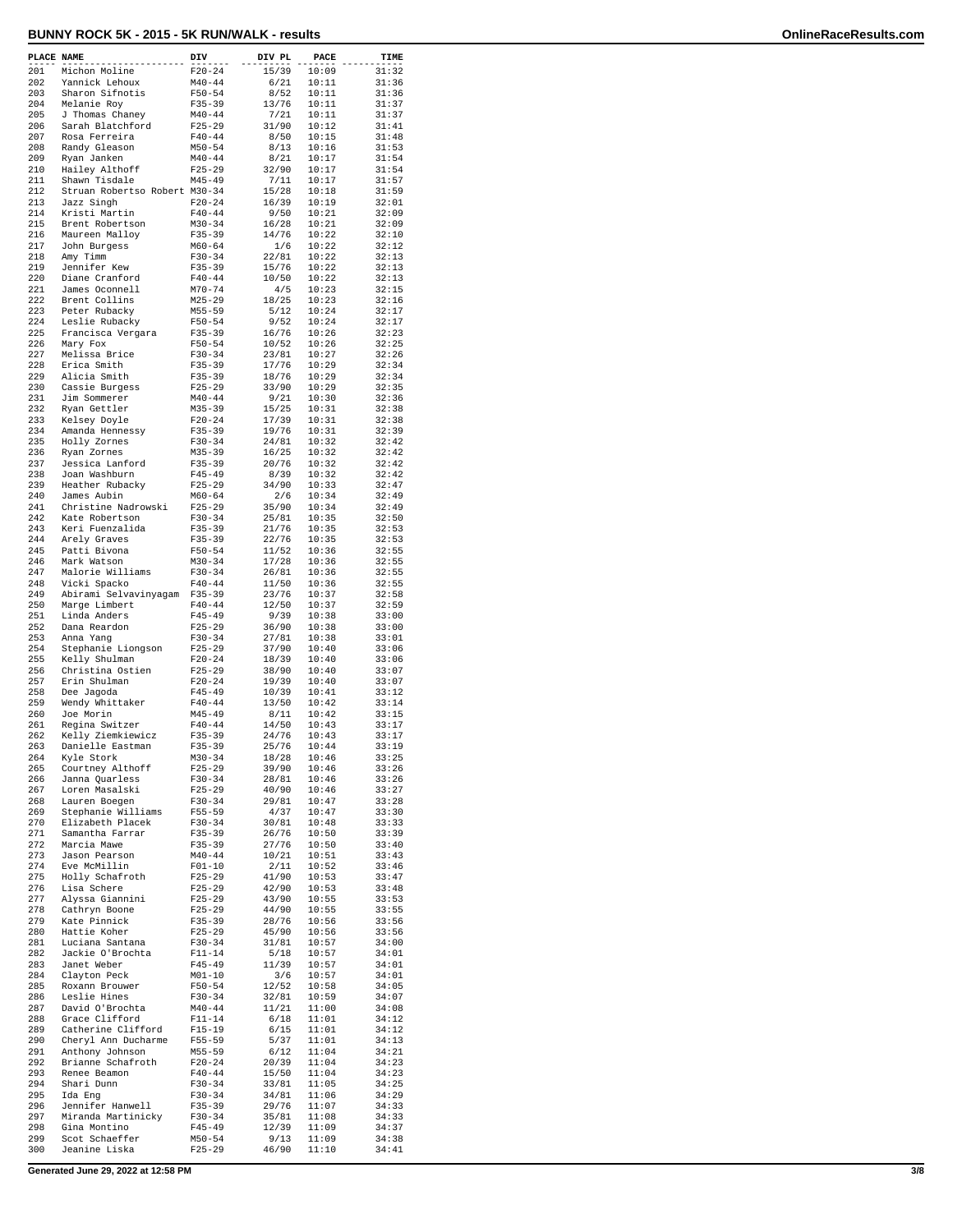| PLACE NAME |                                       | DIV                      | DIV PL         | PACE           | TIME           |
|------------|---------------------------------------|--------------------------|----------------|----------------|----------------|
| 201        | Michon Moline                         | $F20 - 24$               | 15/39          | 10:09          | 31:32          |
| 202        | Yannick Lehoux                        | $M40 - 44$               | 6/21           | 10:11          | 31:36          |
| 203<br>204 | Sharon Sifnotis<br>Melanie Roy        | $F50 - 54$<br>$F35 - 39$ | 8/52<br>13/76  | 10:11<br>10:11 | 31:36<br>31:37 |
| 205        | J Thomas Chaney                       | $M40 - 44$               | 7/21           | 10:11          | 31:37          |
| 206        | Sarah Blatchford                      | $F25 - 29$               | 31/90          | 10:12          | 31:41          |
| 207        | Rosa Ferreira                         | $F40 - 44$               | 8/50           | 10:15          | 31:48          |
| 208<br>209 | Randy Gleason<br>Ryan Janken          | $M50 - 54$<br>$M40 - 44$ | 8/13<br>8/21   | 10:16<br>10:17 | 31:53<br>31:54 |
| 210        | Hailey Althoff                        | $F25 - 29$               | 32/90          | 10:17          | 31:54          |
| 211        | Shawn Tisdale                         | $M45 - 49$               | 7/11           | 10:17          | 31:57          |
| 212        | Struan Robertso Robert M30-34         |                          | 15/28          | 10:18          | 31:59          |
| 213        | Jazz Singh                            | $F20 - 24$               | 16/39          | 10:19          | 32:01          |
| 214<br>215 | Kristi Martin<br>Brent Robertson      | $F40 - 44$<br>M30-34     | 9/50<br>16/28  | 10:21<br>10:21 | 32:09<br>32:09 |
| 216        | Maureen Malloy                        | $F35 - 39$               | 14/76          | 10:22          | 32:10          |
| 217        | John Burgess                          | $M60 - 64$               | 1/6            | 10:22          | 32:12          |
| 218        | Amy Timm                              | $F30 - 34$               | 22/81          | 10:22          | 32:13          |
| 219        | Jennifer Kew                          | $F35 - 39$               | 15/76          | 10:22          | 32:13          |
| 220<br>221 | Diane Cranford<br>James Oconnell      | $F40 - 44$<br>$M70 - 74$ | 10/50<br>4/5   | 10:22<br>10:23 | 32:13<br>32:15 |
| 222        | Brent Collins                         | $M25 - 29$               | 18/25          | 10:23          | 32:16          |
| 223        | Peter Rubacky                         | $M55 - 59$               | 5/12           | 10:24          | 32:17          |
| 224        | Leslie Rubacky                        | $F50 - 54$               | 9/52           | 10:24          | 32:17          |
| 225<br>226 | Francisca Vergara<br>Mary Fox         | $F35 - 39$<br>$F50 - 54$ | 16/76<br>10/52 | 10:26<br>10:26 | 32:23<br>32:25 |
| 227        | Melissa Brice                         | $F30-34$                 | 23/81          | 10:27          | 32:26          |
| 228        | Erica Smith                           | $F35 - 39$               | 17/76          | 10:29          | 32:34          |
| 229        | Alicia Smith                          | F35-39                   | 18/76          | 10:29          | 32:34          |
| 230<br>231 | Cassie Burgess                        | $F25 - 29$               | 33/90<br>9/21  | 10:29<br>10:30 | 32:35<br>32:36 |
| 232        | Jim Sommerer<br>Ryan Gettler          | $M40 - 44$<br>$M35 - 39$ | 15/25          | 10:31          | 32:38          |
| 233        | Kelsey Doyle                          | $F20-24$                 | 17/39          | 10:31          | 32:38          |
| 234        | Amanda Hennessy                       | $F35 - 39$               | 19/76          | 10:31          | 32:39          |
| 235        | Holly Zornes                          | $F30-34$                 | 24/81          | 10:32          | 32:42          |
| 236<br>237 | Ryan Zornes                           | $M35 - 39$               | 16/25<br>20/76 | 10:32          | 32:42<br>32:42 |
| 238        | Jessica Lanford<br>Joan Washburn      | $F35 - 39$<br>$F45 - 49$ | 8/39           | 10:32<br>10:32 | 32:42          |
| 239        | Heather Rubacky                       | $F25 - 29$               | 34/90          | 10:33          | 32:47          |
| 240        | James Aubin                           | $M60 - 64$               | 2/6            | 10:34          | 32:49          |
| 241        | Christine Nadrowski                   | $F25 - 29$               | 35/90          | 10:34          | 32:49          |
| 242<br>243 | Kate Robertson<br>Keri Fuenzalida     | $F30 - 34$<br>$F35 - 39$ | 25/81<br>21/76 | 10:35<br>10:35 | 32:50<br>32:53 |
| 244        | Arely Graves                          | $F35 - 39$               | 22/76          | 10:35          | 32:53          |
| 245        | Patti Bivona                          | $F50 - 54$               | 11/52          | 10:36          | 32:55          |
| 246        | Mark Watson                           | $M30 - 34$               | 17/28          | 10:36          | 32:55          |
| 247        | Malorie Williams                      | $F30-34$                 | 26/81          | 10:36          | 32:55          |
| 248<br>249 | Vicki Spacko<br>Abirami Selvavinyagam | $F40 - 44$<br>$F35 - 39$ | 11/50<br>23/76 | 10:36<br>10:37 | 32:55<br>32:58 |
| 250        | Marge Limbert                         | $F40 - 44$               | 12/50          | 10:37          | 32:59          |
| 251        | Linda Anders                          | $F45 - 49$               | 9/39           | 10:38          | 33:00          |
| 252        | Dana Reardon                          | $F25-29$                 | 36/90          | 10:38          | 33:00          |
| 253<br>254 | Anna Yang                             | $F30-34$<br>$F25 - 29$   | 27/81<br>37/90 | 10:38          | 33:01<br>33:06 |
| 255        | Stephanie Liongson<br>Kelly Shulman   | $F20 - 24$               | 18/39          | 10:40<br>10:40 | 33:06          |
| 256        | Christina Ostien                      | $F25 - 29$               | 38/90          | 10:40          | 33:07          |
| 257        | Erin Shulman                          | $F20-24$                 | 19/39          | 10:40          | 33:07          |
| 258        | Dee Jagoda                            | $F45 - 49$               | 10/39          | 10:41          | 33:12          |
| 259<br>260 | Wendy Whittaker<br>Joe Morin          | $F40 - 44$<br>$M45 - 49$ | 13/50<br>8/11  | 10:42<br>10:42 | 33:14<br>33:15 |
| 261        | Regina Switzer                        | $F40 - 44$               | 14/50          | 10:43          | 33:17          |
| 262        | Kelly Ziemkiewicz                     | $F35 - 39$               | 24/76          | 10:43          | 33:17          |
| 263        | Danielle Eastman                      | $F35 - 39$               | 25/76          | 10:44          | 33:19          |
| 264        | Kyle Stork                            | $M30 - 34$               | 18/28<br>39/90 | 10:46          | 33:25<br>33:26 |
| 265<br>266 | Courtney Althoff<br>Janna Quarless    | $F25 - 29$<br>$F30-34$   | 28/81          | 10:46<br>10:46 | 33:26          |
| 267        | Loren Masalski                        | $F25 - 29$               | 40/90          | 10:46          | 33:27          |
| 268        | Lauren Boegen                         | $F30-34$                 | 29/81          | 10:47          | 33:28          |
| 269        | Stephanie Williams                    | $F55 - 59$               | 4/37           | 10:47          | 33:30          |
| 270<br>271 | Elizabeth Placek<br>Samantha Farrar   | $F30-34$<br>$F35 - 39$   | 30/81<br>26/76 | 10:48<br>10:50 | 33:33<br>33:39 |
| 272        | Marcia Mawe                           | $F35 - 39$               | 27/76          | 10:50          | 33:40          |
| 273        | Jason Pearson                         | $M40 - 44$               | 10/21          | 10:51          | 33:43          |
| 274        | Eve McMillin                          | $F01 - 10$               | 2/11           | 10:52          | 33:46          |
| 275<br>276 | Holly Schafroth<br>Lisa Schere        | $F25 - 29$<br>$F25-29$   | 41/90<br>42/90 | 10:53<br>10:53 | 33:47<br>33:48 |
| 277        | Alyssa Giannini                       | $F25 - 29$               | 43/90          | 10:55          | 33:53          |
| 278        | Cathryn Boone                         | $F25 - 29$               | 44/90          | 10:55          | 33:55          |
| 279        | Kate Pinnick                          | $F35 - 39$               | 28/76          | 10:56          | 33:56          |
| 280        | Hattie Koher                          | $F25 - 29$               | 45/90          | 10:56          | 33:56          |
| 281<br>282 | Luciana Santana<br>Jackie O'Brochta   | $F30 - 34$<br>$F11 - 14$ | 31/81<br>5/18  | 10:57<br>10:57 | 34:00<br>34:01 |
| 283        | Janet Weber                           | $F45 - 49$               | 11/39          | 10:57          | 34:01          |
| 284        | Clayton Peck                          | $M01 - 10$               | 3/6            | 10:57          | 34:01          |
| 285        | Roxann Brouwer                        | $F50 - 54$               | 12/52          | 10:58          | 34:05          |
| 286        | Leslie Hines                          | $F30 - 34$               | 32/81          | 10:59          | 34:07          |
| 287<br>288 | David O'Brochta<br>Grace Clifford     | $M40 - 44$<br>$F11 - 14$ | 11/21<br>6/18  | 11:00          | 34:08<br>34:12 |
| 289        | Catherine Clifford                    | F15-19                   | 6/15           | 11:01<br>11:01 | 34:12          |
| 290        | Cheryl Ann Ducharme                   | F55-59                   | 5/37           | 11:01          | 34:13          |
| 291        | Anthony Johnson                       | M55-59                   | 6/12           | 11:04          | 34:21          |
| 292        | Brianne Schafroth                     | $F20 - 24$               | 20/39          | 11:04          | 34:23          |
| 293<br>294 | Renee Beamon<br>Shari Dunn            | $F40 - 44$<br>$F30-34$   | 15/50<br>33/81 | 11:04<br>11:05 | 34:23<br>34:25 |
| 295        | Ida Eng                               | $F30-34$                 | 34/81          | 11:06          | 34:29          |
| 296        | Jennifer Hanwell                      | $F35 - 39$               | 29/76          | 11:07          | 34:33          |
| 297        | Miranda Martinicky                    | $F30-34$                 | 35/81          | 11:08          | 34:33          |
| 298<br>299 | Gina Montino                          | $F45 - 49$               | 12/39          | 11:09          | 34:37          |
| 300        | Scot Schaeffer<br>Jeanine Liska       | $M50 - 54$<br>$F25 - 29$ | 9/13<br>46/90  | 11:09<br>11:10 | 34:38<br>34:41 |
|            |                                       |                          |                |                |                |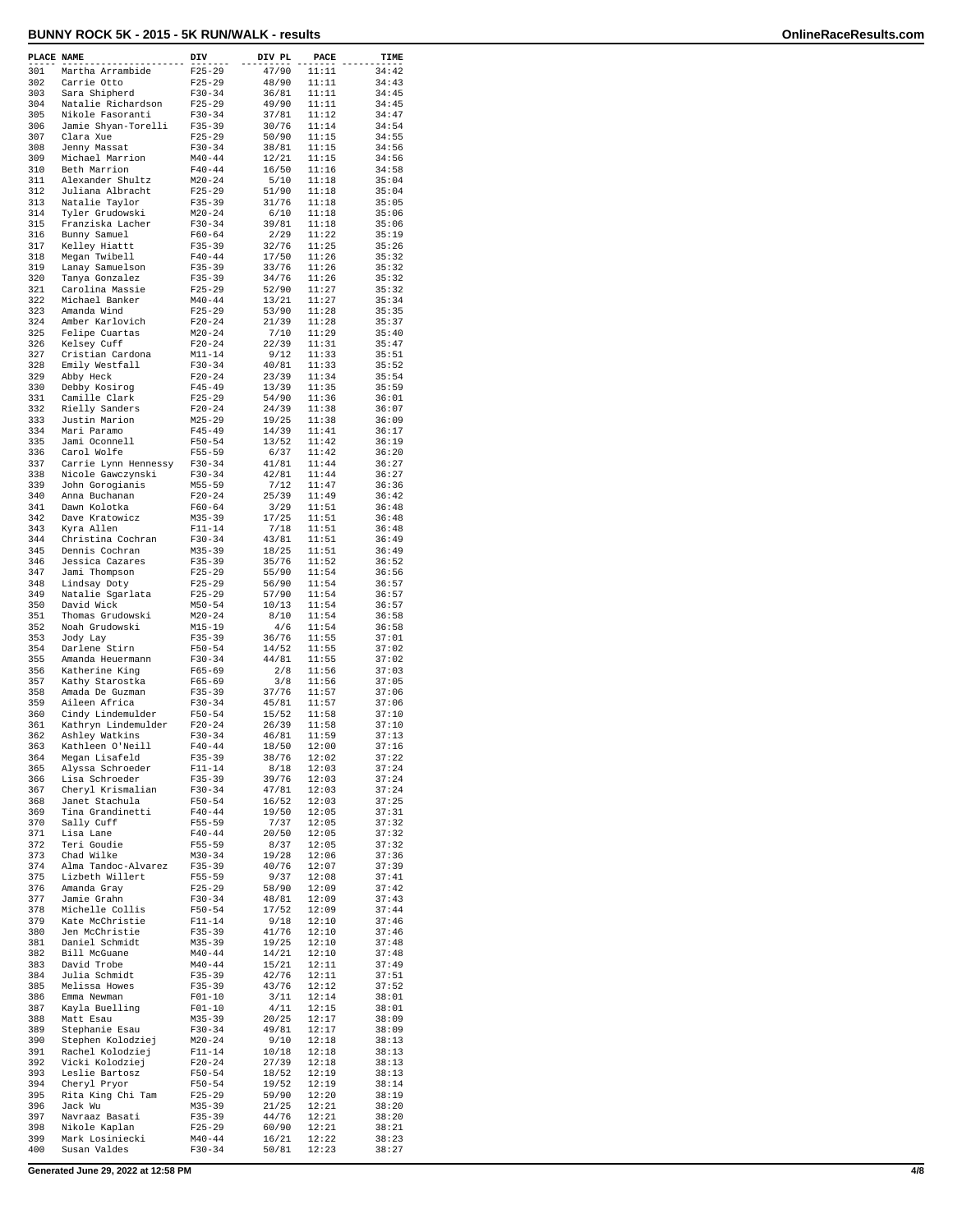| PLACE NAME |                                     | DIV                      | DIV PL         | PACE           | TIME           |
|------------|-------------------------------------|--------------------------|----------------|----------------|----------------|
| 301        | Martha Arrambide                    | $F25 - 29$               | 47/90          | 11:11          | 34:42          |
| 302<br>303 | Carrie Otto<br>Sara Shipherd        | $F25 - 29$<br>$F30 - 34$ | 48/90<br>36/81 | 11:11<br>11:11 | 34:43<br>34:45 |
| 304        | Natalie Richardson                  | $F25-29$                 | 49/90          | 11:11          | 34:45          |
| 305        | Nikole Fasoranti                    | $F30-34$                 | 37/81          | 11:12          | 34:47          |
| 306        | Jamie Shyan-Torelli                 | $F35 - 39$               | 30/76          | 11:14          | 34:54<br>34:55 |
| 307<br>308 | Clara Xue<br>Jenny Massat           | $F25 - 29$<br>$F30 - 34$ | 50/90<br>38/81 | 11:15<br>11:15 | 34:56          |
| 309        | Michael Marrion                     | $M40 - 44$               | 12/21          | 11:15          | 34:56          |
| 310        | Beth Marrion                        | $F40 - 44$               | 16/50          | 11:16          | 34:58          |
| 311        | Alexander Shultz                    | $M20 - 24$               | 5/10           | 11:18          | 35:04          |
| 312<br>313 | Juliana Albracht<br>Natalie Taylor  | $F25 - 29$<br>$F35 - 39$ | 51/90<br>31/76 | 11:18<br>11:18 | 35:04<br>35:05 |
| 314        | Tyler Grudowski                     | $M20 - 24$               | 6/10           | 11:18          | 35:06          |
| 315        | Franziska Lacher                    | $F30-34$                 | 39/81          | 11:18          | 35:06          |
| 316<br>317 | Bunny Samuel                        | $F60 - 64$<br>$F35 - 39$ | 2/29<br>32/76  | 11:22          | 35:19          |
| 318        | Kelley Hiattt<br>Megan Twibell      | $F40 - 44$               | 17/50          | 11:25<br>11:26 | 35:26<br>35:32 |
| 319        | Lanay Samuelson                     | $F35 - 39$               | 33/76          | 11:26          | 35:32          |
| 320        | Tanya Gonzalez                      | $F35 - 39$               | 34/76          | 11:26          | 35:32          |
| 321<br>322 | Carolina Massie<br>Michael Banker   | $F25-29$<br>$M40 - 44$   | 52/90<br>13/21 | 11:27<br>11:27 | 35:32<br>35:34 |
| 323        | Amanda Wind                         | $F25 - 29$               | 53/90          | 11:28          | 35:35          |
| 324        | Amber Karlovich                     | $F20-24$                 | 21/39          | 11:28          | 35:37          |
| 325        | Felipe Cuartas                      | $M20 - 24$               | 7/10           | 11:29          | 35:40          |
| 326<br>327 | Kelsey Cuff<br>Cristian Cardona     | $F20 - 24$<br>M11-14     | 22/39<br>9/12  | 11:31<br>11:33 | 35:47<br>35:51 |
| 328        | Emily Westfall                      | $F30-34$                 | 40/81          | 11:33          | 35:52          |
| 329        | Abby Heck                           | $F20 - 24$               | 23/39          | 11:34          | 35:54          |
| 330        | Debby Kosirog                       | $F45 - 49$               | 13/39          | 11:35          | 35:59          |
| 331<br>332 | Camille Clark<br>Rielly Sanders     | $F25-29$<br>$F20 - 24$   | 54/90<br>24/39 | 11:36<br>11:38 | 36:01<br>36:07 |
| 333        | Justin Marion                       | $M25 - 29$               | 19/25          | 11:38          | 36:09          |
| 334        | Mari Paramo                         | $F45 - 49$               | 14/39          | 11:41          | 36:17          |
| 335<br>336 | Jami Oconnell                       | $F50 - 54$               | 13/52          | 11:42          | 36:19          |
| 337        | Carol Wolfe<br>Carrie Lynn Hennessy | $F55 - 59$<br>$F30-34$   | 6/37<br>41/81  | 11:42<br>11:44 | 36:20<br>36:27 |
| 338        | Nicole Gawczynski                   | $F30-34$                 | 42/81          | 11:44          | 36:27          |
| 339        | John Gorogianis                     | $M55 - 59$               | 7/12           | 11:47          | 36:36          |
| 340<br>341 | Anna Buchanan                       | $F20-24$                 | 25/39          | 11:49          | 36:42          |
| 342        | Dawn Kolotka<br>Dave Kratowicz      | $F60 - 64$<br>$M35 - 39$ | 3/29<br>17/25  | 11:51<br>11:51 | 36:48<br>36:48 |
| 343        | Kyra Allen                          | $F11 - 14$               | 7/18           | 11:51          | 36:48          |
| 344        | Christina Cochran                   | $F30 - 34$               | 43/81          | 11:51          | 36:49          |
| 345<br>346 | Dennis Cochran<br>Jessica Cazares   | $M35 - 39$<br>$F35 - 39$ | 18/25<br>35/76 | 11:51<br>11:52 | 36:49<br>36:52 |
| 347        | Jami Thompson                       | $F25 - 29$               | 55/90          | 11:54          | 36:56          |
| 348        | Lindsay Doty                        | $F25 - 29$               | 56/90          | 11:54          | 36:57          |
| 349        | Natalie Sgarlata                    | $F25-29$                 | 57/90          | 11:54          | 36:57          |
| 350<br>351 | David Wick<br>Thomas Grudowski      | $M50 - 54$<br>$M20 - 24$ | 10/13<br>8/10  | 11:54<br>11:54 | 36:57<br>36:58 |
| 352        | Noah Grudowski                      | $M15 - 19$               | 4/6            | 11:54          | 36:58          |
| 353        | Jody Lay                            | $F35 - 39$               | 36/76          | 11:55          | 37:01          |
| 354<br>355 | Darlene Stirn<br>Amanda Heuermann   | $F50 - 54$<br>$F30 - 34$ | 14/52          | 11:55          | 37:02<br>37:02 |
| 356        | Katherine King                      | $F65 - 69$               | 44/81<br>2/8   | 11:55<br>11:56 | 37:03          |
| 357        | Kathy Starostka                     | F65-69                   | 3/8            | 11:56          | 37:05          |
| 358        | Amada De Guzman                     | $F35 - 39$               | 37/76          | 11:57          | 37:06          |
| 359<br>360 | Aileen Africa<br>Cindy Lindemulder  | $F30 - 34$<br>$F50 - 54$ | 45/81<br>15/52 | 11:57<br>11:58 | 37:06<br>37:10 |
| 361        | Kathryn Lindemulder                 | $F20 - 24$               | 26/39          | 11:58          | 37:10          |
| 362        | Ashley Watkins                      | $F30 - 34$               | 46/81          | 11:59          | 37:13          |
| 363        | Kathleen O'Neill                    | $F40 - 44$               | 18/50          | 12:00          | 37:16          |
| 364<br>365 | Megan Lisafeld<br>Alyssa Schroeder  | $F35 - 39$<br>$F11 - 14$ | 38/76<br>8/18  | 12:02<br>12:03 | 37:22<br>37:24 |
| 366        | Lisa Schroeder                      | F35-39                   | 39/76          | 12:03          | 37:24          |
| 367        | Cheryl Krismalian                   | $F30-34$                 | 47/81          | 12:03          | 37:24          |
| 368<br>369 | Janet Stachula                      | $F50 - 54$               | 16/52          | 12:03<br>12:05 | 37:25          |
| 370        | Tina Grandinetti<br>Sally Cuff      | $F40 - 44$<br>$F55 - 59$ | 19/50<br>7/37  | 12:05          | 37:31<br>37:32 |
| 371        | Lisa Lane                           | $F40 - 44$               | 20/50          | 12:05          | 37:32          |
| 372        | Teri Goudie                         | $F55 - 59$               | 8/37           | 12:05          | 37:32          |
| 373<br>374 | Chad Wilke<br>Alma Tandoc-Alvarez   | $M30 - 34$<br>$F35 - 39$ | 19/28<br>40/76 | 12:06<br>12:07 | 37:36<br>37:39 |
| 375        | Lizbeth Willert                     | F55-59                   | 9/37           | 12:08          | 37:41          |
| 376        | Amanda Gray                         | $F25 - 29$               | 58/90          | 12:09          | 37:42          |
| 377        | Jamie Grahn                         | $F30-34$                 | 48/81          | 12:09          | 37:43          |
| 378<br>379 | Michelle Collis<br>Kate McChristie  | $F50 - 54$<br>$F11 - 14$ | 17/52<br>9/18  | 12:09<br>12:10 | 37:44<br>37:46 |
| 380        | Jen McChristie                      | $F35 - 39$               | 41/76          | 12:10          | 37:46          |
| 381        | Daniel Schmidt                      | $M35 - 39$               | 19/25          | 12:10          | 37:48          |
| 382        | Bill McGuane                        | $M40 - 44$               | 14/21          | 12:10          | 37:48          |
| 383<br>384 | David Trobe<br>Julia Schmidt        | $M40 - 44$<br>$F35 - 39$ | 15/21<br>42/76 | 12:11<br>12:11 | 37:49<br>37:51 |
| 385        | Melissa Howes                       | $F35 - 39$               | 43/76          | 12:12          | 37:52          |
| 386        | Emma Newman                         | $F01 - 10$               | 3/11           | 12:14          | 38:01          |
| 387        | Kayla Buelling                      | $F01 - 10$               | 4/11           | 12:15          | 38:01          |
| 388<br>389 | Matt Esau<br>Stephanie Esau         | $M35 - 39$<br>$F30-34$   | 20/25<br>49/81 | 12:17<br>12:17 | 38:09<br>38:09 |
| 390        | Stephen Kolodziej                   | $M20 - 24$               | 9/10           | 12:18          | 38:13          |
| 391        | Rachel Kolodziej                    | $F11 - 14$               | 10/18          | 12:18          | 38:13          |
| 392<br>393 | Vicki Kolodziej                     | $F20 - 24$               | 27/39          | 12:18<br>12:19 | 38:13          |
| 394        | Leslie Bartosz<br>Cheryl Pryor      | $F50 - 54$<br>$F50 - 54$ | 18/52<br>19/52 | 12:19          | 38:13<br>38:14 |
| 395        | Rita King Chi Tam                   | $F25 - 29$               | 59/90          | 12:20          | 38:19          |
| 396        | Jack Wu                             | M35-39                   | 21/25          | 12:21          | 38:20          |
| 397<br>398 | Navraaz Basati<br>Nikole Kaplan     | $F35 - 39$<br>$F25 - 29$ | 44/76<br>60/90 | 12:21<br>12:21 | 38:20<br>38:21 |
| 399        | Mark Losiniecki                     | $M40 - 44$               | 16/21          | 12:22          | 38:23          |
| 400        | Susan Valdes                        | $F30-34$                 | 50/81          | 12:23          | 38:27          |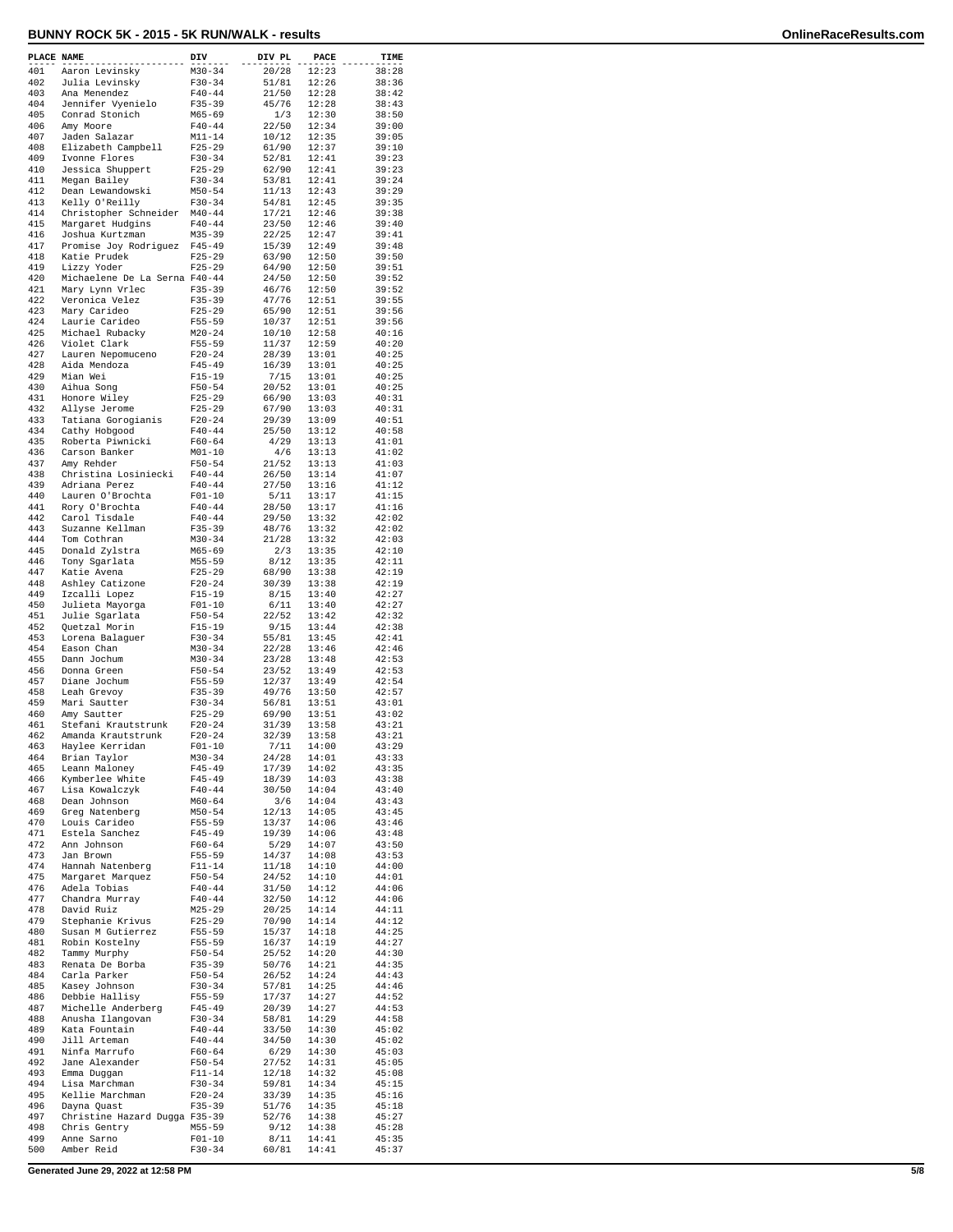| PLACE NAME |                                              | DIV                      | DIV PL         | <b>PACE</b>    | TIME           |
|------------|----------------------------------------------|--------------------------|----------------|----------------|----------------|
| 401        | Aaron Levinsky                               | $M30 - 34$               | 20/28          | 12:23          | 38:28          |
| 402<br>403 | Julia Levinsky                               | $F30 - 34$               | 51/81          | 12:26          | 38:36<br>38:42 |
| 404        | Ana Menendez<br>Jennifer Vyenielo            | $F40 - 44$<br>$F35 - 39$ | 21/50<br>45/76 | 12:28<br>12:28 | 38:43          |
| 405        | Conrad Stonich                               | $M65 - 69$               | 1/3            | 12:30          | 38:50          |
| 406        | Amy Moore                                    | $F40 - 44$               | 22/50          | 12:34          | 39:00          |
| 407        | Jaden Salazar                                | $M11 - 14$               | 10/12          | 12:35          | 39:05          |
| 408<br>409 | Elizabeth Campbell<br>Ivonne Flores          | $F25 - 29$<br>$F30-34$   | 61/90<br>52/81 | 12:37<br>12:41 | 39:10<br>39:23 |
| 410        | Jessica Shuppert                             | $F25 - 29$               | 62/90          | 12:41          | 39:23          |
| 411        | Megan Bailey                                 | $F30 - 34$               | 53/81          | 12:41          | 39:24          |
| 412        | Dean Lewandowski                             | $M50 - 54$               | 11/13          | 12:43          | 39:29          |
| 413<br>414 | Kelly O'Reilly<br>Christopher Schneider      | $F30 - 34$<br>$M40 - 44$ | 54/81<br>17/21 | 12:45<br>12:46 | 39:35<br>39:38 |
| 415        | Margaret Hudgins                             | $F40 - 44$               | 23/50          | 12:46          | 39:40          |
| 416        | Joshua Kurtzman                              | $M35 - 39$               | 22/25          | 12:47          | 39:41          |
| 417        | Promise Joy Rodriguez                        | $F45 - 49$               | 15/39          | 12:49          | 39:48          |
| 418<br>419 | Katie Prudek                                 | $F25 - 29$<br>$F25 - 29$ | 63/90<br>64/90 | 12:50<br>12:50 | 39:50<br>39:51 |
| 420        | Lizzy Yoder<br>Michaelene De La Serna F40-44 |                          | 24/50          | 12:50          | 39:52          |
| 421        | Mary Lynn Vrlec                              | $F35 - 39$               | 46/76          | 12:50          | 39:52          |
| 422        | Veronica Velez                               | $F35 - 39$               | 47/76          | 12:51          | 39:55          |
| 423<br>424 | Mary Carideo                                 | $F25 - 29$               | 65/90          | 12:51          | 39:56          |
| 425        | Laurie Carideo<br>Michael Rubacky            | $F55 - 59$<br>$M20 - 24$ | 10/37<br>10/10 | 12:51<br>12:58 | 39:56<br>40:16 |
| 426        | Violet Clark                                 | $F55 - 59$               | 11/37          | 12:59          | 40:20          |
| 427        | Lauren Nepomuceno                            | $F20-24$                 | 28/39          | 13:01          | 40:25          |
| 428        | Aida Mendoza                                 | $F45 - 49$               | 16/39          | 13:01          | 40:25          |
| 429<br>430 | Mian Wei<br>Aihua Song                       | $F15 - 19$<br>$F50 - 54$ | 7/15<br>20/52  | 13:01<br>13:01 | 40:25<br>40:25 |
| 431        | Honore Wiley                                 | $F25 - 29$               | 66/90          | 13:03          | 40:31          |
| 432        | Allyse Jerome                                | $F25 - 29$               | 67/90          | 13:03          | 40:31          |
| 433        | Tatiana Gorogianis                           | $F20-24$                 | 29/39          | 13:09          | 40:51          |
| 434<br>435 | Cathy Hobgood<br>Roberta Piwnicki            | $F40 - 44$<br>$F60 - 64$ | 25/50<br>4/29  | 13:12<br>13:13 | 40:58<br>41:01 |
| 436        | Carson Banker                                | $M01 - 10$               | 4/6            | 13:13          | 41:02          |
| 437        | Amy Rehder                                   | $F50 - 54$               | 21/52          | 13:13          | 41:03          |
| 438        | Christina Losiniecki                         | $F40 - 44$               | 26/50          | 13:14          | 41:07          |
| 439<br>440 | Adriana Perez<br>Lauren O'Brochta            | $F40 - 44$<br>$F01 - 10$ | 27/50<br>5/11  | 13:16<br>13:17 | 41:12<br>41:15 |
| 441        | Rory O'Brochta                               | $F40 - 44$               | 28/50          | 13:17          | 41:16          |
| 442        | Carol Tisdale                                | $F40 - 44$               | 29/50          | 13:32          | 42:02          |
| 443        | Suzanne Kellman                              | $F35 - 39$               | 48/76          | 13:32          | 42:02          |
| 444<br>445 | Tom Cothran<br>Donald Zylstra                | $M30 - 34$<br>$M65 - 69$ | 21/28<br>2/3   | 13:32<br>13:35 | 42:03<br>42:10 |
| 446        | Tony Sgarlata                                | $M55 - 59$               | 8/12           | 13:35          | 42:11          |
| 447        | Katie Avena                                  | $F25 - 29$               | 68/90          | 13:38          | 42:19          |
| 448        | Ashley Catizone                              | $F20 - 24$               | 30/39          | 13:38          | 42:19          |
| 449<br>450 | Izcalli Lopez<br>Julieta Mayorga             | $F15 - 19$<br>$F01 - 10$ | 8/15<br>6/11   | 13:40<br>13:40 | 42:27<br>42:27 |
| 451        | Julie Sgarlata                               | $F50 - 54$               | 22/52          | 13:42          | 42:32          |
| 452        | Quetzal Morin                                | $F15 - 19$               | 9/15           | 13:44          | 42:38          |
| 453        | Lorena Balaguer                              | $F30 - 34$               | 55/81          | 13:45          | 42:41          |
| 454<br>455 | Eason Chan<br>Dann Jochum                    | $M30 - 34$<br>$M30 - 34$ | 22/28<br>23/28 | 13:46<br>13:48 | 42:46<br>42:53 |
| 456        | Donna Green                                  | $F50 - 54$               | 23/52          | 13:49          | 42:53          |
| 457        | Diane Jochum                                 | F55-59                   | 12/37          | 13:49          | 42:54          |
| 458        | Leah Grevoy                                  | $F35 - 39$               | 49/76          | 13:50          | 42:57          |
| 459<br>460 | Mari Sautter<br>Amy Sautter                  | $F30 - 34$<br>$F25 - 29$ | 56/81<br>69/90 | 13:51<br>13:51 | 43:01<br>43:02 |
| 461        | Stefani Krautstrunk                          | $F20 - 24$               | 31/39          | 13:58          | 43:21          |
| 462        | Amanda Krautstrunk                           | $F20 - 24$               | 32/39          | 13:58          | 43:21          |
| 463        | Haylee Kerridan                              | $F01 - 10$               | 7/11           | 14:00          | 43:29          |
| 464<br>465 | Brian Taylor                                 | $M30 - 34$<br>$F45 - 49$ | 24/28<br>17/39 | 14:01<br>14:02 | 43:33<br>43:35 |
| 466        | Leann Maloney<br>Kymberlee White             | $F45 - 49$               | 18/39          | 14:03          | 43:38          |
| 467        | Lisa Kowalczyk                               | $F40 - 44$               | 30/50          | 14:04          | 43:40          |
| 468        | Dean Johnson                                 | $M60 - 64$               | 3/6            | 14:04          | 43:43          |
| 469<br>470 | Greg Natenberg<br>Louis Carideo              | $M50 - 54$<br>$F55 - 59$ | 12/13<br>13/37 | 14:05<br>14:06 | 43:45<br>43:46 |
| 471        | Estela Sanchez                               | $F45 - 49$               | 19/39          | 14:06          | 43:48          |
| 472        | Ann Johnson                                  | $F60 - 64$               | 5/29           | 14:07          | 43:50          |
| 473        | Jan Brown                                    | $F55 - 59$               | 14/37          | 14:08          | 43:53          |
| 474<br>475 | Hannah Natenberg<br>Margaret Marquez         | $F11 - 14$<br>$F50 - 54$ | 11/18<br>24/52 | 14:10<br>14:10 | 44:00<br>44:01 |
| 476        | Adela Tobias                                 | $F40 - 44$               | 31/50          | 14:12          | 44:06          |
| 477        | Chandra Murray                               | $F40 - 44$               | 32/50          | 14:12          | 44:06          |
| 478        | David Ruiz                                   | $M25 - 29$               | 20/25          | 14:14          | 44:11          |
| 479<br>480 | Stephanie Krivus<br>Susan M Gutierrez        | $F25 - 29$<br>$F55 - 59$ | 70/90<br>15/37 | 14:14<br>14:18 | 44:12<br>44:25 |
| 481        | Robin Kostelny                               | F55-59                   | 16/37          | 14:19          | 44:27          |
| 482        | Tammy Murphy                                 | $F50 - 54$               | 25/52          | 14:20          | 44:30          |
| 483        | Renata De Borba                              | $F35 - 39$               | 50/76          | 14:21          | 44:35          |
| 484        | Carla Parker                                 | $F50 - 54$               | 26/52          | 14:24          | 44:43          |
| 485<br>486 | Kasey Johnson<br>Debbie Hallisy              | $F30 - 34$<br>$F55 - 59$ | 57/81<br>17/37 | 14:25<br>14:27 | 44:46<br>44:52 |
| 487        | Michelle Anderberg                           | $F45 - 49$               | 20/39          | 14:27          | 44:53          |
| 488        | Anusha Ilangovan                             | $F30 - 34$               | 58/81          | 14:29          | 44:58          |
| 489        | Kata Fountain                                | $F40 - 44$               | 33/50          | 14:30          | 45:02          |
| 490<br>491 | Jill Arteman<br>Ninfa Marrufo                | $F40 - 44$<br>$F60 - 64$ | 34/50<br>6/29  | 14:30<br>14:30 | 45:02<br>45:03 |
| 492        | Jane Alexander                               | $F50 - 54$               | 27/52          | 14:31          | 45:05          |
| 493        | Emma Duggan                                  | $F11 - 14$               | 12/18          | 14:32          | 45:08          |
| 494        | Lisa Marchman                                | $F30 - 34$               | 59/81          | 14:34          | 45:15          |
| 495<br>496 | Kellie Marchman<br>Dayna Quast               | $F20 - 24$<br>$F35 - 39$ | 33/39<br>51/76 | 14:35<br>14:35 | 45:16<br>45:18 |
| 497        | Christine Hazard Dugga F35-39                |                          | 52/76          | 14:38          | 45:27          |
| 498        | Chris Gentry                                 | $M55 - 59$               | 9/12           | 14:38          | 45:28          |
| 499        | Anne Sarno                                   | $F01 - 10$               | 8/11           | 14:41          | 45:35          |
| 500        | Amber Reid                                   | $F30 - 34$               | 60/81          | 14:41          | 45:37          |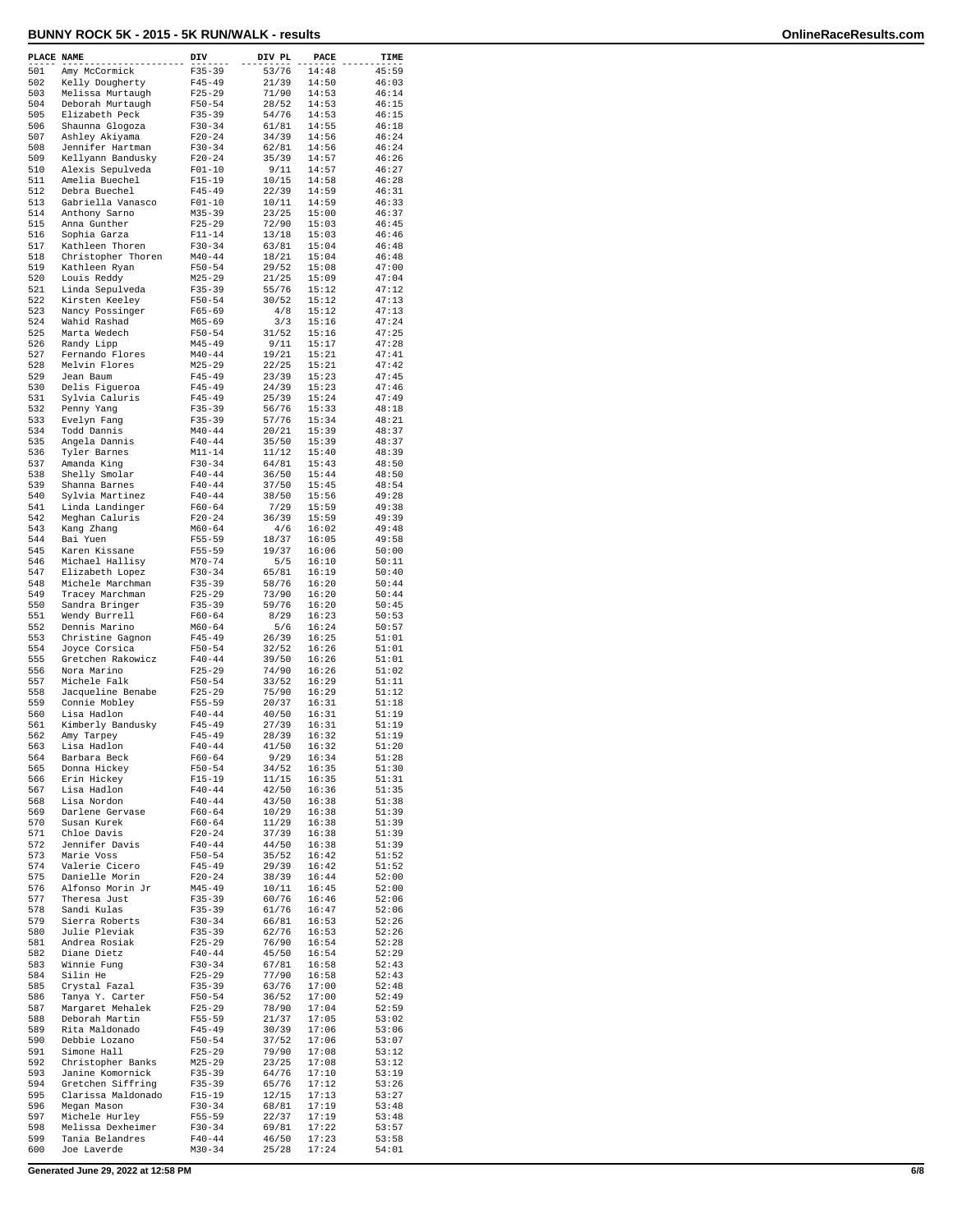| PLACE NAME |                                       | DIV                      | DIV PL         | PACE           | TIME           |
|------------|---------------------------------------|--------------------------|----------------|----------------|----------------|
| 501        | Amy McCormick                         | $F35 - 39$               | 53/76          | 14:48          | 45:59          |
| 502<br>503 | Kelly Dougherty<br>Melissa Murtaugh   | $F45 - 49$<br>$F25 - 29$ | 21/39<br>71/90 | 14:50<br>14:53 | 46:03<br>46:14 |
| 504        | Deborah Murtaugh                      | $F50 - 54$               | 28/52          | 14:53          | 46:15          |
| 505        | Elizabeth Peck                        | $F35 - 39$               | 54/76          | 14:53          | 46:15          |
| 506        | Shaunna Glogoza                       | $F30-34$                 | 61/81          | 14:55          | 46:18          |
| 507        | Ashley Akiyama                        | $F20 - 24$               | 34/39          | 14:56          | 46:24          |
| 508<br>509 | Jennifer Hartman<br>Kellyann Bandusky | $F30 - 34$<br>$F20 - 24$ | 62/81<br>35/39 | 14:56<br>14:57 | 46:24<br>46:26 |
| 510        | Alexis Sepulveda                      | $F01 - 10$               | 9/11           | 14:57          | 46:27          |
| 511        | Amelia Buechel                        | $F15 - 19$               | 10/15          | 14:58          | 46:28          |
| 512        | Debra Buechel                         | $F45 - 49$               | 22/39          | 14:59          | 46:31          |
| 513<br>514 | Gabriella Vanasco                     | $F01 - 10$<br>$M35 - 39$ | 10/11<br>23/25 | 14:59<br>15:00 | 46:33<br>46:37 |
| 515        | Anthony Sarno<br>Anna Gunther         | $F25 - 29$               | 72/90          | 15:03          | 46:45          |
| 516        | Sophia Garza                          | $F11 - 14$               | 13/18          | 15:03          | 46:46          |
| 517        | Kathleen Thoren                       | $F30-34$                 | 63/81          | 15:04          | 46:48          |
| 518<br>519 | Christopher Thoren                    | $M40 - 44$               | 18/21<br>29/52 | 15:04<br>15:08 | 46:48          |
| 520        | Kathleen Ryan<br>Louis Reddy          | $F50 - 54$<br>$M25 - 29$ | 21/25          | 15:09          | 47:00<br>47:04 |
| 521        | Linda Sepulveda                       | F35-39                   | 55/76          | 15:12          | 47:12          |
| 522        | Kirsten Keeley                        | $F50 - 54$               | 30/52          | 15:12          | 47:13          |
| 523<br>524 | Nancy Possinger                       | $F65 - 69$               | 4/8            | 15:12<br>15:16 | 47:13          |
| 525        | Wahid Rashad<br>Marta Wedech          | $M65 - 69$<br>$F50 - 54$ | 3/3<br>31/52   | 15:16          | 47:24<br>47:25 |
| 526        | Randy Lipp                            | $M45 - 49$               | 9/11           | 15:17          | 47:28          |
| 527        | Fernando Flores                       | $M40 - 44$               | 19/21          | 15:21          | 47:41          |
| 528        | Melvin Flores                         | $M25 - 29$               | 22/25          | 15:21          | 47:42          |
| 529<br>530 | Jean Baum<br>Delis Figueroa           | $F45 - 49$<br>$F45 - 49$ | 23/39<br>24/39 | 15:23<br>15:23 | 47:45<br>47:46 |
| 531        | Sylvia Caluris                        | $F45 - 49$               | 25/39          | 15:24          | 47:49          |
| 532        | Penny Yang                            | $F35 - 39$               | 56/76          | 15:33          | 48:18          |
| 533        | Evelyn Fang                           | $F35 - 39$               | 57/76          | 15:34          | 48:21          |
| 534        | Todd Dannis                           | $M40 - 44$               | 20/21<br>35/50 | 15:39          | 48:37          |
| 535<br>536 | Angela Dannis<br>Tyler Barnes         | $F40 - 44$<br>$M11 - 14$ | 11/12          | 15:39<br>15:40 | 48:37<br>48:39 |
| 537        | Amanda King                           | $F30 - 34$               | 64/81          | 15:43          | 48:50          |
| 538        | Shelly Smolar                         | $F40 - 44$               | 36/50          | 15:44          | 48:50          |
| 539        | Shanna Barnes                         | $F40 - 44$               | 37/50          | 15:45          | 48:54          |
| 540<br>541 | Sylvia Martinez<br>Linda Landinger    | $F40 - 44$<br>$F60 - 64$ | 38/50<br>7/29  | 15:56<br>15:59 | 49:28<br>49:38 |
| 542        | Meghan Caluris                        | $F20 - 24$               | 36/39          | 15:59          | 49:39          |
| 543        | Kang Zhang                            | $M60 - 64$               | 4/6            | 16:02          | 49:48          |
| 544        | Bai Yuen                              | $F55 - 59$               | 18/37          | 16:05          | 49:58          |
| 545<br>546 | Karen Kissane                         | $F55 - 59$               | 19/37          | 16:06          | 50:00          |
| 547        | Michael Hallisy<br>Elizabeth Lopez    | $M70 - 74$<br>$F30-34$   | 5/5<br>65/81   | 16:10<br>16:19 | 50:11<br>50:40 |
| 548        | Michele Marchman                      | $F35 - 39$               | 58/76          | 16:20          | 50:44          |
| 549        | Tracey Marchman                       | $F25 - 29$               | 73/90          | 16:20          | 50:44          |
| 550        | Sandra Bringer                        | $F35 - 39$               | 59/76          | 16:20          | 50:45          |
| 551<br>552 | Wendy Burrell<br>Dennis Marino        | $F60 - 64$<br>$M60 - 64$ | 8/29<br>5/6    | 16:23<br>16:24 | 50:53<br>50:57 |
| 553        | Christine Gagnon                      | $F45 - 49$               | 26/39          | 16:25          | 51:01          |
| 554        | Joyce Corsica                         | $F50 - 54$               | 32/52          | 16:26          | 51:01          |
| 555        | Gretchen Rakowicz                     | $F40 - 44$               | 39/50          | 16:26          | 51:01          |
| 556<br>557 | Nora Marino<br>Michele Falk           | $F25 - 29$<br>$F50 - 54$ | 74/90<br>33/52 | 16:26<br>16:29 | 51:02<br>51:11 |
| 558        | Jacqueline Benabe                     | $F25 - 29$               | 75/90          | 16:29          | 51:12          |
| 559        | Connie Mobley                         | F55-59                   | 20/37          | 16:31          | 51:18          |
| 560        | Lisa Hadlon                           | $F40 - 44$               | 40/50          | 16:31          | 51:19          |
| 561<br>562 | Kimberly Bandusky<br>Amy Tarpey       | $F45 - 49$<br>$F45 - 49$ | 27/39<br>28/39 | 16:31<br>16:32 | 51:19<br>51:19 |
| 563        | Lisa Hadlon                           | $F40 - 44$               | 41/50          | 16:32          | 51:20          |
| 564        | Barbara Beck                          | $F60 - 64$               | 9/29           | 16:34          | 51:28          |
| 565        | Donna Hickey                          | $F50 - 54$               | 34/52          | 16:35          | 51:30          |
| 566<br>567 | Erin Hickey<br>Lisa Hadlon            | $F15 - 19$<br>$F40 - 44$ | 11/15<br>42/50 | 16:35<br>16:36 | 51:31<br>51:35 |
| 568        | Lisa Nordon                           | $F40 - 44$               | 43/50          | 16:38          | 51:38          |
| 569        | Darlene Gervase                       | $F60 - 64$               | 10/29          | 16:38          | 51:39          |
| 570        | Susan Kurek                           | $F60 - 64$               | 11/29          | 16:38          | 51:39          |
| 571<br>572 | Chloe Davis<br>Jennifer Davis         | $F20 - 24$<br>$F40 - 44$ | 37/39<br>44/50 | 16:38<br>16:38 | 51:39<br>51:39 |
| 573        | Marie Voss                            | $F50 - 54$               | 35/52          | 16:42          | 51:52          |
| 574        | Valerie Cicero                        | $F45 - 49$               | 29/39          | 16:42          | 51:52          |
| 575        | Danielle Morin                        | $F20 - 24$               | 38/39          | 16:44          | 52:00          |
| 576        | Alfonso Morin Jr                      | $M45 - 49$               | 10/11          | 16:45          | 52:00          |
| 577<br>578 | Theresa Just<br>Sandi Kulas           | $F35 - 39$<br>$F35 - 39$ | 60/76<br>61/76 | 16:46<br>16:47 | 52:06<br>52:06 |
| 579        | Sierra Roberts                        | $F30-34$                 | 66/81          | 16:53          | 52:26          |
| 580        | Julie Pleviak                         | $F35 - 39$               | 62/76          | 16:53          | 52:26          |
| 581        | Andrea Rosiak                         | $F25 - 29$               | 76/90          | 16:54          | 52:28          |
| 582        | Diane Dietz                           | $F40 - 44$               | 45/50          | 16:54          | 52:29          |
| 583<br>584 | Winnie Fung<br>Silin He               | $F30 - 34$<br>$F25 - 29$ | 67/81<br>77/90 | 16:58<br>16:58 | 52:43<br>52:43 |
| 585        | Crystal Fazal                         | $F35 - 39$               | 63/76          | 17:00          | 52:48          |
| 586        | Tanya Y. Carter                       | $F50 - 54$               | 36/52          | 17:00          | 52:49          |
| 587        | Margaret Mehalek                      | $F25 - 29$               | 78/90          | 17:04          | 52:59          |
| 588<br>589 | Deborah Martin<br>Rita Maldonado      | F55-59<br>$F45 - 49$     | 21/37<br>30/39 | 17:05<br>17:06 | 53:02<br>53:06 |
| 590        | Debbie Lozano                         | $F50 - 54$               | 37/52          | 17:06          | 53:07          |
| 591        | Simone Hall                           | $F25 - 29$               | 79/90          | 17:08          | 53:12          |
| 592        | Christopher Banks                     | $M25 - 29$               | 23/25          | 17:08          | 53:12          |
| 593<br>594 | Janine Komornick<br>Gretchen Siffring | F35-39<br>$F35 - 39$     | 64/76<br>65/76 | 17:10<br>17:12 | 53:19<br>53:26 |
| 595        | Clarissa Maldonado                    | $F15 - 19$               | 12/15          | 17:13          | 53:27          |
| 596        | Megan Mason                           | $F30-34$                 | 68/81          | 17:19          | 53:48          |
| 597        | Michele Hurley                        | F55-59                   | 22/37          | 17:19          | 53:48          |
| 598<br>599 | Melissa Dexheimer<br>Tania Belandres  | $F30 - 34$<br>$F40 - 44$ | 69/81<br>46/50 | 17:22<br>17:23 | 53:57<br>53:58 |
| 600        | Joe Laverde                           | $M30 - 34$               | 25/28          | 17:24          | 54:01          |
|            |                                       |                          |                |                |                |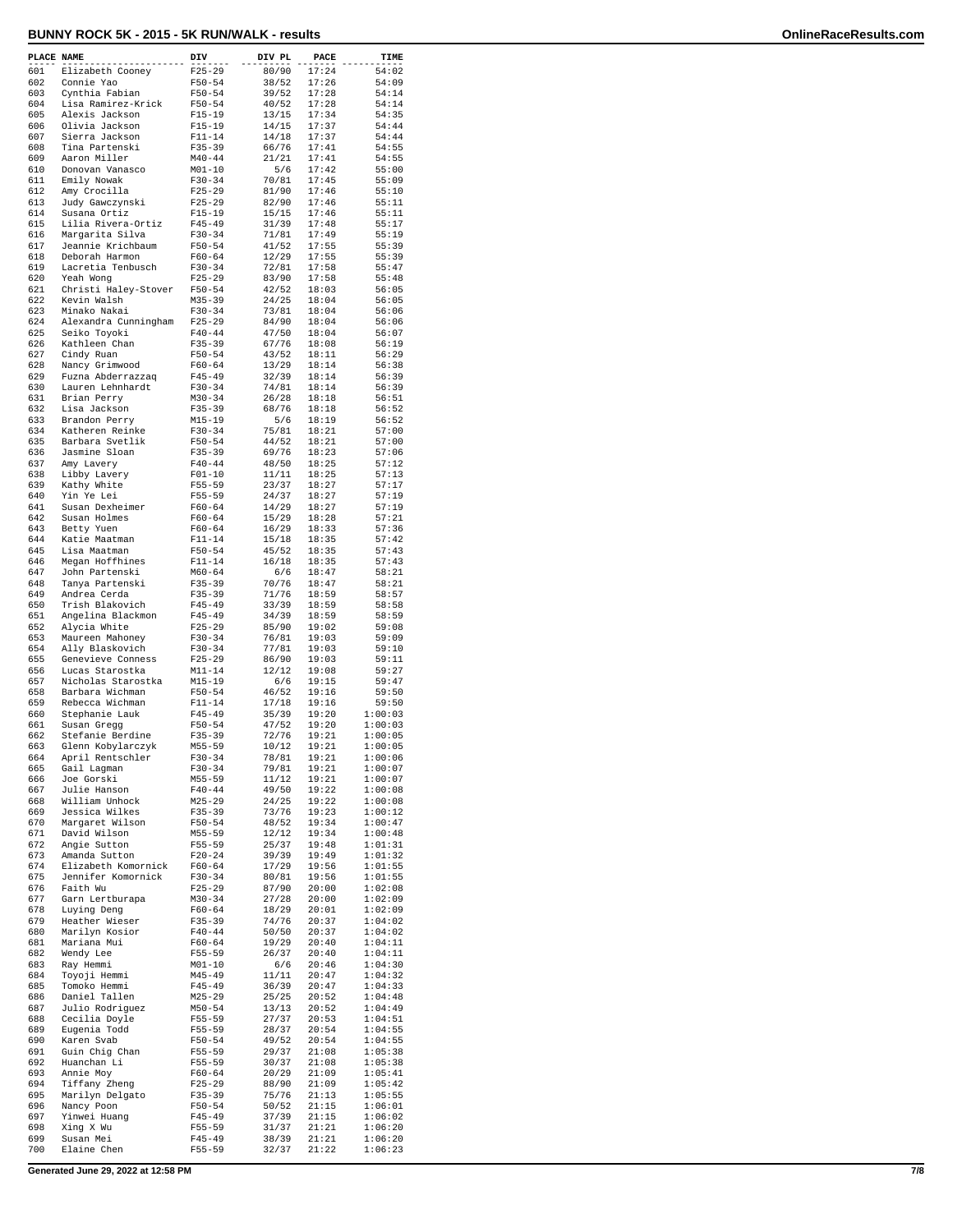| PLACE NAME |                                           | DIV                      | DIV PL         | PACE           | TIME               |
|------------|-------------------------------------------|--------------------------|----------------|----------------|--------------------|
| 601        | Elizabeth Cooney                          | $F25 - 29$               | 80/90          | 17:24          | 54:02              |
| 602        | Connie Yao                                | $F50 - 54$               | 38/52          | 17:26          | 54:09              |
| 603<br>604 | Cynthia Fabian<br>Lisa Ramirez-Krick      | $F50 - 54$<br>$F50 - 54$ | 39/52<br>40/52 | 17:28<br>17:28 | 54:14<br>54:14     |
| 605        | Alexis Jackson                            | $F15-19$                 | 13/15          | 17:34          | 54:35              |
| 606        | Olivia Jackson                            | $F15 - 19$               | 14/15          | 17:37          | 54:44              |
| 607        | Sierra Jackson                            | $F11 - 14$               | 14/18          | 17:37          | 54:44              |
| 608<br>609 | Tina Partenski<br>Aaron Miller            | $F35 - 39$<br>$M40 - 44$ | 66/76<br>21/21 | 17:41<br>17:41 | 54:55<br>54:55     |
| 610        | Donovan Vanasco                           | $M01 - 10$               | 5/6            | 17:42          | 55:00              |
| 611        | Emily Nowak                               | $F30-34$                 | 70/81          | 17:45          | 55:09              |
| 612        | Amy Crocilla                              | $F25 - 29$               | 81/90          | 17:46          | 55:10              |
| 613<br>614 | Judy Gawczynski                           | $F25 - 29$<br>$F15 - 19$ | 82/90          | 17:46          | 55:11              |
| 615        | Susana Ortiz<br>Lilia Rivera-Ortiz        | $F45 - 49$               | 15/15<br>31/39 | 17:46<br>17:48 | 55:11<br>55:17     |
| 616        | Margarita Silva                           | $F30-34$                 | 71/81          | 17:49          | 55:19              |
| 617        | Jeannie Krichbaum                         | $F50 - 54$               | 41/52          | 17:55          | 55:39              |
| 618        | Deborah Harmon                            | $F60 - 64$<br>$F30 - 34$ | 12/29          | 17:55          | 55:39              |
| 619<br>620 | Lacretia Tenbusch<br>Yeah Wong            | $F25 - 29$               | 72/81<br>83/90 | 17:58<br>17:58 | 55:47<br>55:48     |
| 621        | Christi Haley-Stover                      | $F50 - 54$               | 42/52          | 18:03          | 56:05              |
| 622        | Kevin Walsh                               | $M35 - 39$               | 24/25          | 18:04          | 56:05              |
| 623        | Minako Nakai                              | $F30-34$                 | 73/81          | 18:04          | 56:06              |
| 624<br>625 | Alexandra Cunningham<br>Seiko Toyoki      | $F25 - 29$<br>$F40 - 44$ | 84/90<br>47/50 | 18:04<br>18:04 | 56:06<br>56:07     |
| 626        | Kathleen Chan                             | $F35 - 39$               | 67/76          | 18:08          | 56:19              |
| 627        | Cindy Ruan                                | $F50 - 54$               | 43/52          | 18:11          | 56:29              |
| 628        | Nancy Grimwood                            | $F60 - 64$               | 13/29          | 18:14          | 56:38              |
| 629<br>630 | Fuzna Abderrazzag<br>Lauren Lehnhardt     | $F45 - 49$<br>$F30 - 34$ | 32/39<br>74/81 | 18:14<br>18:14 | 56:39<br>56:39     |
| 631        | Brian Perry                               | $M30 - 34$               | 26/28          | 18:18          | 56:51              |
| 632        | Lisa Jackson                              | $F35 - 39$               | 68/76          | 18:18          | 56:52              |
| 633        | Brandon Perry                             | $M15 - 19$               | 5/6            | 18:19          | 56:52              |
| 634<br>635 | Katheren Reinke<br>Barbara Svetlik        | $F30-34$<br>$F50 - 54$   | 75/81<br>44/52 | 18:21<br>18:21 | 57:00<br>57:00     |
| 636        | Jasmine Sloan                             | $F35 - 39$               | 69/76          | 18:23          | 57:06              |
| 637        | Amy Lavery                                | $F40 - 44$               | 48/50          | 18:25          | 57:12              |
| 638        | Libby Lavery                              | $F01 - 10$               | 11/11          | 18:25          | 57:13              |
| 639<br>640 | Kathy White<br>Yin Ye Lei                 | $F55 - 59$<br>$F55 - 59$ | 23/37<br>24/37 | 18:27<br>18:27 | 57:17<br>57:19     |
| 641        | Susan Dexheimer                           | $F60 - 64$               | 14/29          | 18:27          | 57:19              |
| 642        | Susan Holmes                              | $F60 - 64$               | 15/29          | 18:28          | 57:21              |
| 643        | Betty Yuen                                | $F60 - 64$               | 16/29          | 18:33          | 57:36              |
| 644<br>645 | Katie Maatman                             | $F11 - 14$               | 15/18          | 18:35<br>18:35 | 57:42<br>57:43     |
| 646        | Lisa Maatman<br>Megan Hoffhines           | $F50 - 54$<br>$F11 - 14$ | 45/52<br>16/18 | 18:35          | 57:43              |
| 647        | John Partenski                            | $M60 - 64$               | 6/6            | 18:47          | 58:21              |
| 648        | Tanya Partenski                           | $F35 - 39$               | 70/76          | 18:47          | 58:21              |
| 649<br>650 | Andrea Cerda                              | $F35 - 39$<br>$F45 - 49$ | 71/76          | 18:59          | 58:57              |
| 651        | Trish Blakovich<br>Angelina Blackmon      | $F45 - 49$               | 33/39<br>34/39 | 18:59<br>18:59 | 58:58<br>58:59     |
| 652        | Alycia White                              | $F25 - 29$               | 85/90          | 19:02          | 59:08              |
| 653        | Maureen Mahoney                           | $F30-34$                 | 76/81          | 19:03          | 59:09              |
| 654<br>655 | Ally Blaskovich<br>Genevieve Conness      | $F30-34$<br>$F25 - 29$   | 77/81<br>86/90 | 19:03<br>19:03 | 59:10<br>59:11     |
| 656        | Lucas Starostka                           | $M11 - 14$               | 12/12          | 19:08          | 59:27              |
| 657        | Nicholas Starostka                        | $M15 - 19$               | 6/6            | 19:15          | 59:47              |
| 658        | Barbara Wichman                           | $F50 - 54$               | 46/52          | 19:16          | 59:50              |
| 659<br>660 | Rebecca Wichman<br>Stephanie Lauk         | $F11 - 14$<br>$F45 - 49$ | 17/18<br>35/39 | 19:16<br>19:20 | 59:50<br>1:00:03   |
| 661        | Susan Gregg                               | $F50 - 54$               | 47/52          | 19:20          | 1:00:03            |
| 662        | Stefanie Berdine                          | $F35 - 39$               | 72/76          | 19:21          | 1:00:05            |
| 663        | Glenn Kobylarczyk                         | $M55 - 59$               | 10/12          | 19:21          | 1:00:05            |
| 664<br>665 | April Rentschler<br>Gail Lagman           | $F30 - 34$<br>$F30-34$   | 78/81<br>79/81 | 19:21<br>19:21 | 1:00:06<br>1:00:07 |
| 666        | Joe Gorski                                | $M55 - 59$               | 11/12          | 19:21          | 1:00:07            |
| 667        | Julie Hanson                              | $F40 - 44$               | 49/50          | 19:22          | 1:00:08            |
| 668        | William Unhock                            | $M25 - 29$               | 24/25          | 19:22          | 1:00:08            |
| 669<br>670 | Jessica Wilkes<br>Margaret Wilson         | $F35 - 39$<br>$F50 - 54$ | 73/76<br>48/52 | 19:23<br>19:34 | 1:00:12<br>1:00:47 |
| 671        | David Wilson                              | $M55 - 59$               | 12/12          | 19:34          | 1:00:48            |
| 672        | Angie Sutton                              | $F55 - 59$               | 25/37          | 19:48          | 1:01:31            |
| 673        | Amanda Sutton                             | $F20 - 24$               | 39/39          | 19:49          | 1:01:32            |
| 674<br>675 | Elizabeth Komornick<br>Jennifer Komornick | $F60 - 64$<br>$F30 - 34$ | 17/29<br>80/81 | 19:56<br>19:56 | 1:01:55<br>1:01:55 |
| 676        | Faith Wu                                  | $F25 - 29$               | 87/90          | 20:00          | 1:02:08            |
| 677        | Garn Lertburapa                           | $M30 - 34$               | 27/28          | 20:00          | 1:02:09            |
| 678        | Luying Deng                               | $F60 - 64$               | 18/29          | 20:01          | 1:02:09            |
| 679<br>680 | Heather Wieser                            | $F35 - 39$               | 74/76          | 20:37          | 1:04:02<br>1:04:02 |
| 681        | Marilyn Kosior<br>Mariana Mui             | $F40 - 44$<br>$F60 - 64$ | 50/50<br>19/29 | 20:37<br>20:40 | 1:04:11            |
| 682        | Wendy Lee                                 | $F55 - 59$               | 26/37          | 20:40          | 1:04:11            |
| 683        | Ray Hemmi                                 | $M01 - 10$               | 6/6            | 20:46          | 1:04:30            |
| 684        | Toyoji Hemmi                              | $M45 - 49$               | 11/11          | 20:47          | 1:04:32            |
| 685<br>686 | Tomoko Hemmi<br>Daniel Tallen             | $F45 - 49$<br>$M25 - 29$ | 36/39<br>25/25 | 20:47<br>20:52 | 1:04:33<br>1:04:48 |
| 687        | Julio Rodriguez                           | $M50 - 54$               | 13/13          | 20:52          | 1:04:49            |
| 688        | Cecilia Doyle                             | $F55 - 59$               | 27/37          | 20:53          | 1:04:51            |
| 689        | Eugenia Todd                              | $F55 - 59$               | 28/37          | 20:54          | 1:04:55            |
| 690<br>691 | Karen Svab<br>Guin Chig Chan              | $F50 - 54$<br>$F55 - 59$ | 49/52<br>29/37 | 20:54<br>21:08 | 1:04:55<br>1:05:38 |
| 692        | Huanchan Li                               | $F55 - 59$               | 30/37          | 21:08          | 1:05:38            |
| 693        | Annie Moy                                 | $F60 - 64$               | 20/29          | 21:09          | 1:05:41            |
| 694        | Tiffany Zheng                             | $F25 - 29$               | 88/90          | 21:09          | 1:05:42            |
| 695<br>696 | Marilyn Delgato<br>Nancy Poon             | $F35 - 39$<br>$F50 - 54$ | 75/76<br>50/52 | 21:13<br>21:15 | 1:05:55<br>1:06:01 |
| 697        | Yinwei Huang                              | $F45 - 49$               | 37/39          | 21:15          | 1:06:02            |
| 698        | Xing X Wu                                 | $F55 - 59$               | 31/37          | 21:21          | 1:06:20            |
| 699        | Susan Mei                                 | $F45 - 49$               | 38/39          | 21:21          | 1:06:20            |
| 700        | Elaine Chen                               | $F55 - 59$               | 32/37          | 21:22          | 1:06:23            |